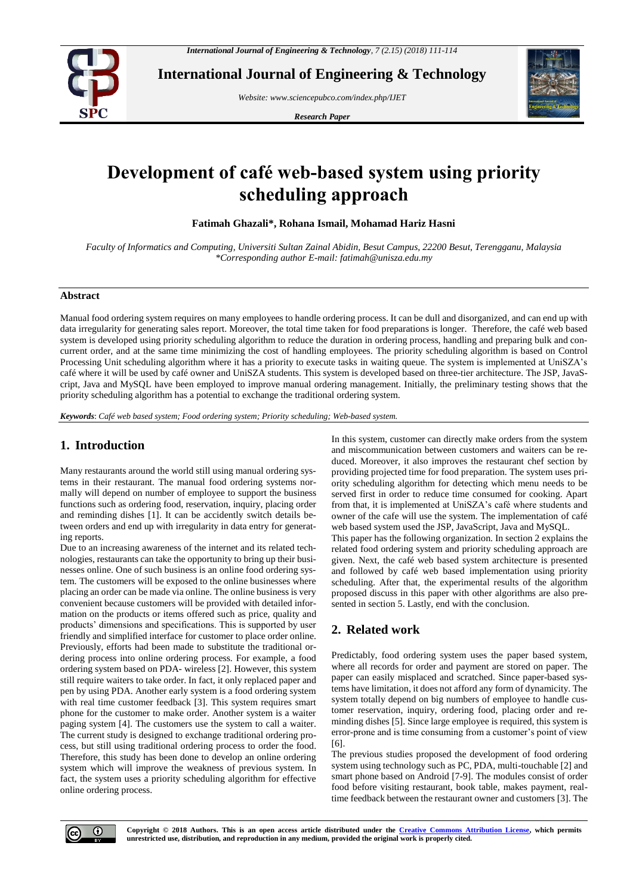

**International Journal of Engineering & Technology**

*Website: www.sciencepubco.com/index.php/IJET*

*Research Paper*



# **Development of café web-based system using priority scheduling approach**

**Fatimah Ghazali\*, Rohana Ismail, Mohamad Hariz Hasni**

*Faculty of Informatics and Computing, Universiti Sultan Zainal Abidin, Besut Campus, 22200 Besut, Terengganu, Malaysia \*Corresponding author E-mail: fatimah@unisza.edu.my*

#### **Abstract**

Manual food ordering system requires on many employees to handle ordering process. It can be dull and disorganized, and can end up with data irregularity for generating sales report. Moreover, the total time taken for food preparations is longer. Therefore, the café web based system is developed using priority scheduling algorithm to reduce the duration in ordering process, handling and preparing bulk and concurrent order, and at the same time minimizing the cost of handling employees. The priority scheduling algorithm is based on Control Processing Unit scheduling algorithm where it has a priority to execute tasks in waiting queue. The system is implemented at UniSZA's café where it will be used by café owner and UniSZA students. This system is developed based on three-tier architecture. The JSP, JavaScript, Java and MySQL have been employed to improve manual ordering management. Initially, the preliminary testing shows that the priority scheduling algorithm has a potential to exchange the traditional ordering system.

*Keywords*: *Café web based system; Food ordering system; Priority scheduling; Web-based system.*

# **1. Introduction**

Many restaurants around the world still using manual ordering systems in their restaurant. The manual food ordering systems normally will depend on number of employee to support the business functions such as ordering food, reservation, inquiry, placing order and reminding dishes [1]. It can be accidently switch details between orders and end up with irregularity in data entry for generating reports.

Due to an increasing awareness of the internet and its related technologies, restaurants can take the opportunity to bring up their businesses online. One of such business is an online food ordering system. The customers will be exposed to the online businesses where placing an order can be made via online. The online business is very convenient because customers will be provided with detailed information on the products or items offered such as price, quality and products' dimensions and specifications. This is supported by user friendly and simplified interface for customer to place order online. Previously, efforts had been made to substitute the traditional ordering process into online ordering process. For example, a food ordering system based on PDA- wireless [2]. However, this system still require waiters to take order. In fact, it only replaced paper and pen by using PDA. Another early system is a food ordering system with real time customer feedback [3]. This system requires smart phone for the customer to make order. Another system is a waiter paging system [4]. The customers use the system to call a waiter. The current study is designed to exchange traditional ordering process, but still using traditional ordering process to order the food. Therefore, this study has been done to develop an online ordering system which will improve the weakness of previous system. In fact, the system uses a priority scheduling algorithm for effective online ordering process.

In this system, customer can directly make orders from the system and miscommunication between customers and waiters can be reduced. Moreover, it also improves the restaurant chef section by providing projected time for food preparation. The system uses priority scheduling algorithm for detecting which menu needs to be served first in order to reduce time consumed for cooking. Apart from that, it is implemented at UniSZA's café where students and owner of the cafe will use the system. The implementation of café web based system used the JSP, JavaScript, Java and MySQL.

This paper has the following organization. In section 2 explains the related food ordering system and priority scheduling approach are given. Next, the café web based system architecture is presented and followed by café web based implementation using priority scheduling. After that, the experimental results of the algorithm proposed discuss in this paper with other algorithms are also presented in section 5. Lastly, end with the conclusion.

# **2. Related work**

Predictably, food ordering system uses the paper based system, where all records for order and payment are stored on paper. The paper can easily misplaced and scratched. Since paper-based systems have limitation, it does not afford any form of dynamicity. The system totally depend on big numbers of employee to handle customer reservation, inquiry, ordering food, placing order and reminding dishes [5]. Since large employee is required, this system is error-prone and is time consuming from a customer's point of view [6].

The previous studies proposed the development of food ordering system using technology such as PC, PDA, multi-touchable [2] and smart phone based on Android [7-9]. The modules consist of order food before visiting restaurant, book table, makes payment, realtime feedback between the restaurant owner and customers [3]. The

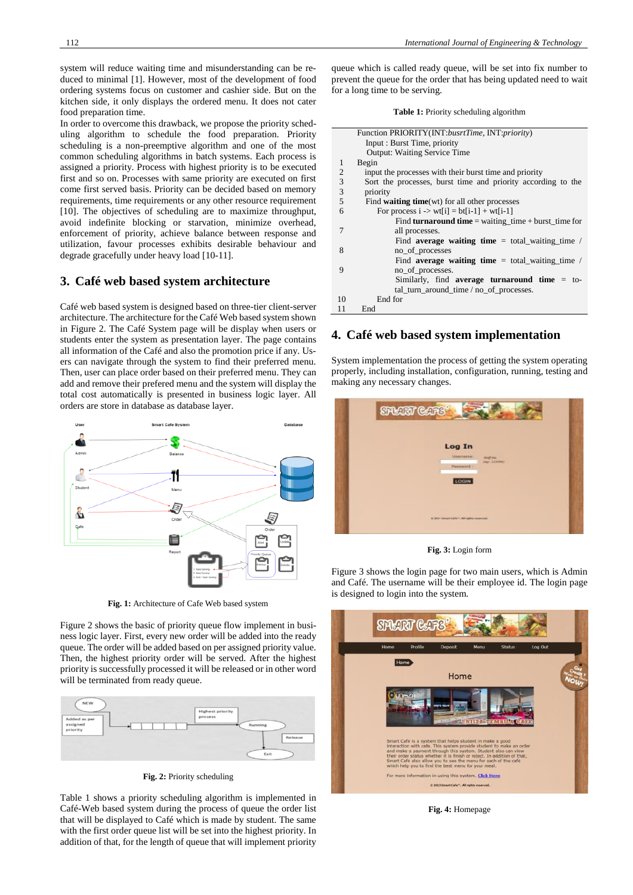system will reduce waiting time and misunderstanding can be reduced to minimal [1]. However, most of the development of food ordering systems focus on customer and cashier side. But on the kitchen side, it only displays the ordered menu. It does not cater food preparation time.

In order to overcome this drawback, we propose the priority scheduling algorithm to schedule the food preparation. Priority scheduling is a non-preemptive algorithm and one of the most common scheduling algorithms in batch systems. Each process is assigned a priority. Process with highest priority is to be executed first and so on. Processes with same priority are executed on first come first served basis. Priority can be decided based on memory requirements, time requirements or any other resource requirement [10]. The objectives of scheduling are to maximize throughput, avoid indefinite blocking or starvation, minimize overhead, enforcement of priority, achieve balance between response and utilization, favour processes exhibits desirable behaviour and degrade gracefully under heavy load [10-11].

# **3. Café web based system architecture**

Café web based system is designed based on three-tier client-server architecture. The architecture for the Café Web based system shown in Figure 2. The Café System page will be display when users or students enter the system as presentation layer. The page contains all information of the Café and also the promotion price if any. Users can navigate through the system to find their preferred menu. Then, user can place order based on their preferred menu. They can add and remove their prefered menu and the system will display the total cost automatically is presented in business logic layer. All orders are store in database as database layer.



**Fig. 1:** Architecture of Cafe Web based system

Figure 2 shows the basic of priority queue flow implement in business logic layer. First, every new order will be added into the ready queue. The order will be added based on per assigned priority value. Then, the highest priority order will be served. After the highest priority is successfully processed it will be released or in other word will be terminated from ready queue.



**Fig. 2:** Priority scheduling

Table 1 shows a priority scheduling algorithm is implemented in Café-Web based system during the process of queue the order list that will be displayed to Café which is made by student. The same with the first order queue list will be set into the highest priority. In addition of that, for the length of queue that will implement priority queue which is called ready queue, will be set into fix number to prevent the queue for the order that has being updated need to wait for a long time to be serving.

| <b>Table 1:</b> Priority scheduling algorithm |  |  |
|-----------------------------------------------|--|--|
|-----------------------------------------------|--|--|

|                | Function PRIORITY(INT:busrtTime, INT:priority)               |
|----------------|--------------------------------------------------------------|
|                | Input: Burst Time, priority                                  |
|                | <b>Output: Waiting Service Time</b>                          |
| 1              | Begin                                                        |
| $\overline{2}$ | input the processes with their burst time and priority       |
| $\frac{3}{3}$  | Sort the processes, burst time and priority according to the |
|                | priority                                                     |
| 5              | Find <b>waiting time</b> (wt) for all other processes        |
| 6              | For process $i \rightarrow wt[i] = bt[i-1] + wt[i-1]$        |
|                | Find <b>turnaround time</b> = waiting time + burst time for  |
| 7              | all processes.                                               |
|                | Find average waiting time $=$ total_waiting_time /           |
| 8              | no_of_processes                                              |
|                | Find average waiting time $=$ total waiting time /           |
| 9              | no of processes.                                             |
|                | Similarly, find average turnaround time $=$ to-              |
|                | tal turn around time $\pi$ no of processes.                  |
| 10             | End for                                                      |
| 11             | End                                                          |

#### **4. Café web based system implementation**

System implementation the process of getting the system operating properly, including installation, configuration, running, testing and making any necessary changes.

| Log In                                                                         |  |
|--------------------------------------------------------------------------------|--|
| <b>Uservares:</b><br><b>ISSUE STAIL</b><br><b>Dear Editorial</b><br>Pannword ! |  |
| LOGIN <sub>1</sub>                                                             |  |
|                                                                                |  |
|                                                                                |  |
| IE 2017 Sheet Early T. All rights reserved.                                    |  |

**Fig. 3:** Login form

Figure 3 shows the login page for two main users, which is Admin and Café. The username will be their employee id. The login page is designed to login into the system.



**Fig. 4:** Homepage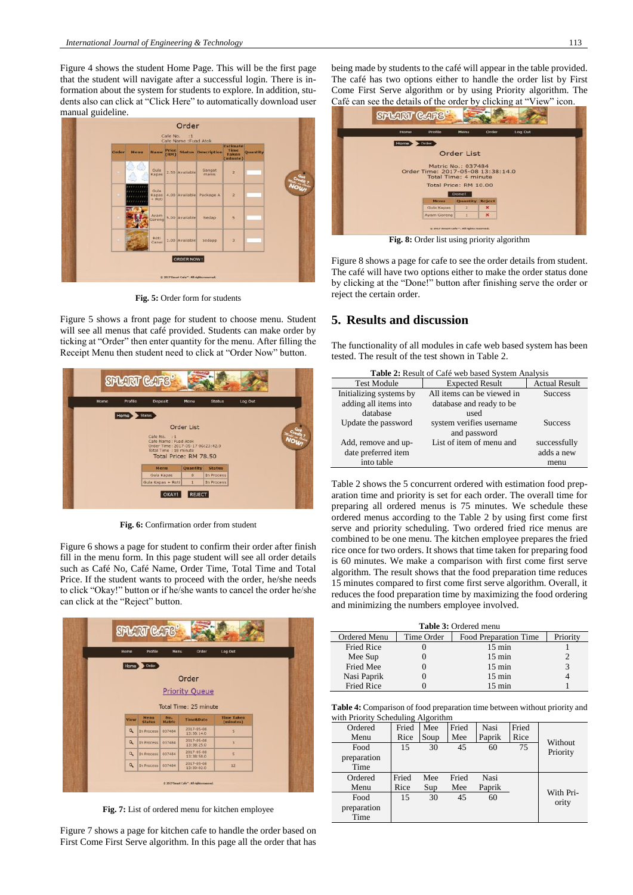Figure 4 shows the student Home Page. This will be the first page that the student will navigate after a successful login. There is information about the system for students to explore. In addition, students also can click at "Click Here" to automatically download user manual guideline.



**Fig. 5:** Order form for students

Figure 5 shows a front page for student to choose menu. Student will see all menus that café provided. Students can make order by ticking at "Order" then enter quantity for the menu. After filling the Receipt Menu then student need to click at "Order Now" button.



**Fig. 6:** Confirmation order from student

Figure 6 shows a page for student to confirm their order after finish fill in the menu form. In this page student will see all order details such as Café No, Café Name, Order Time, Total Time and Total Price. If the student wants to proceed with the order, he/she needs to click "Okay!" button or if he/she wants to cancel the order he/she can click at the "Reject" button.

|          | Profile               | <b>Menu</b>   | <b>Order</b>                                            | Log Out                        |
|----------|-----------------------|---------------|---------------------------------------------------------|--------------------------------|
|          | Home Order            |               |                                                         |                                |
|          |                       |               | Order<br><b>Priority Queue</b><br>Total Time: 25 minute |                                |
| View     | Menu<br><b>Status</b> | No.<br>Matric | <b>Time&amp;Date</b>                                    | <b>Time Taken</b><br>(minutes) |
| $\alpha$ | In Process            | 037484        | 2017-05-08<br>13:38:14.0                                | 5                              |
|          |                       |               | $2017 - 05 - 08$                                        | 3                              |
| a        | In Process            | 037484        | 13:38:25.0                                              |                                |
| $\alpha$ | In Process   037484   |               | 2017-05-08<br>13:38:50.0                                | 5                              |

**Fig. 7:** List of ordered menu for kitchen employee

Figure 7 shows a page for kitchen cafe to handle the order based on First Come First Serve algorithm. In this page all the order that has being made by students to the café will appear in the table provided. The café has two options either to handle the order list by First Come First Serve algorithm or by using Priority algorithm. The Café can see the details of the order by clicking at "View" icon.

| Home        | Profile                                       | Memu            | Order | <b>Log Out</b> |
|-------------|-----------------------------------------------|-----------------|-------|----------------|
| Home Dorder |                                               |                 |       |                |
|             |                                               | Order List      |       |                |
|             | Total Time: 4 minute<br>Total Price: RM 10.00 | <b>Done!</b>    |       |                |
|             | Memu                                          | Quantity Reject |       |                |
|             | Gula Kapas                                    | 2               | ×     |                |
|             | Ayam Goreng                                   | $\mathbf{1}$    | ×     |                |

Figure 8 shows a page for cafe to see the order details from student. The café will have two options either to make the order status done by clicking at the "Done!" button after finishing serve the order or reject the certain order.

# **5. Results and discussion**

The functionality of all modules in cafe web based system has been tested. The result of the test shown in Table 2.

| <b>Table 2:</b> Result of Café web based System Analysis |                            |                      |  |  |  |  |
|----------------------------------------------------------|----------------------------|----------------------|--|--|--|--|
| <b>Test Module</b>                                       | <b>Expected Result</b>     | <b>Actual Result</b> |  |  |  |  |
| Initializing systems by                                  | All items can be viewed in | <b>Success</b>       |  |  |  |  |
| adding all items into                                    | database and ready to be   |                      |  |  |  |  |
| database                                                 | used                       |                      |  |  |  |  |
| Update the password                                      | system verifies username   | <b>Success</b>       |  |  |  |  |
|                                                          | and password               |                      |  |  |  |  |
| Add, remove and up-                                      | List of item of menu and   | successfully         |  |  |  |  |
| date preferred item                                      |                            | adds a new           |  |  |  |  |
| into table                                               |                            | menu                 |  |  |  |  |

Table 2 shows the 5 concurrent ordered with estimation food preparation time and priority is set for each order. The overall time for preparing all ordered menus is 75 minutes. We schedule these ordered menus according to the Table 2 by using first come first serve and priority scheduling. Two ordered fried rice menus are combined to be one menu. The kitchen employee prepares the fried rice once for two orders. It shows that time taken for preparing food is 60 minutes. We make a comparison with first come first serve algorithm. The result shows that the food preparation time reduces 15 minutes compared to first come first serve algorithm. Overall, it reduces the food preparation time by maximizing the food ordering and minimizing the numbers employee involved.

| <b>Table 3: Ordered menu</b> |            |                       |          |  |  |  |  |
|------------------------------|------------|-----------------------|----------|--|--|--|--|
| Ordered Menu                 | Time Order | Food Preparation Time | Priority |  |  |  |  |
| Fried Rice                   |            | $15 \text{ min}$      |          |  |  |  |  |
| Mee Sup                      |            | $15 \text{ min}$      |          |  |  |  |  |
| Fried Mee                    |            | $15 \text{ min}$      | 3        |  |  |  |  |
| Nasi Paprik                  |            | $15 \text{ min}$      |          |  |  |  |  |
| Fried Rice                   |            | $15 \text{ min}$      |          |  |  |  |  |

**Table 4:** Comparison of food preparation time between without priority and with Priority Scheduling Algorithm

| .<br>$\sim$ $\sim$ $\sim$ |       | $\ldots$ |       |        |       |           |
|---------------------------|-------|----------|-------|--------|-------|-----------|
| Ordered                   | Fried | Mee      | Fried | Nasi   | Fried |           |
| Menu                      | Rice  | Soup     | Mee   | Paprik | Rice  | Without   |
| Food                      | 15    | 30       | 45    | 60     | 75    | Priority  |
| preparation               |       |          |       |        |       |           |
| Time                      |       |          |       |        |       |           |
| Ordered                   | Fried | Mee      | Fried | Nasi   |       |           |
| Menu                      | Rice  | Sup      | Mee   | Paprik |       | With Pri- |
| Food                      | 15    | 30       | 45    | 60     |       |           |
| preparation               |       |          |       |        |       | ority     |
| Time                      |       |          |       |        |       |           |